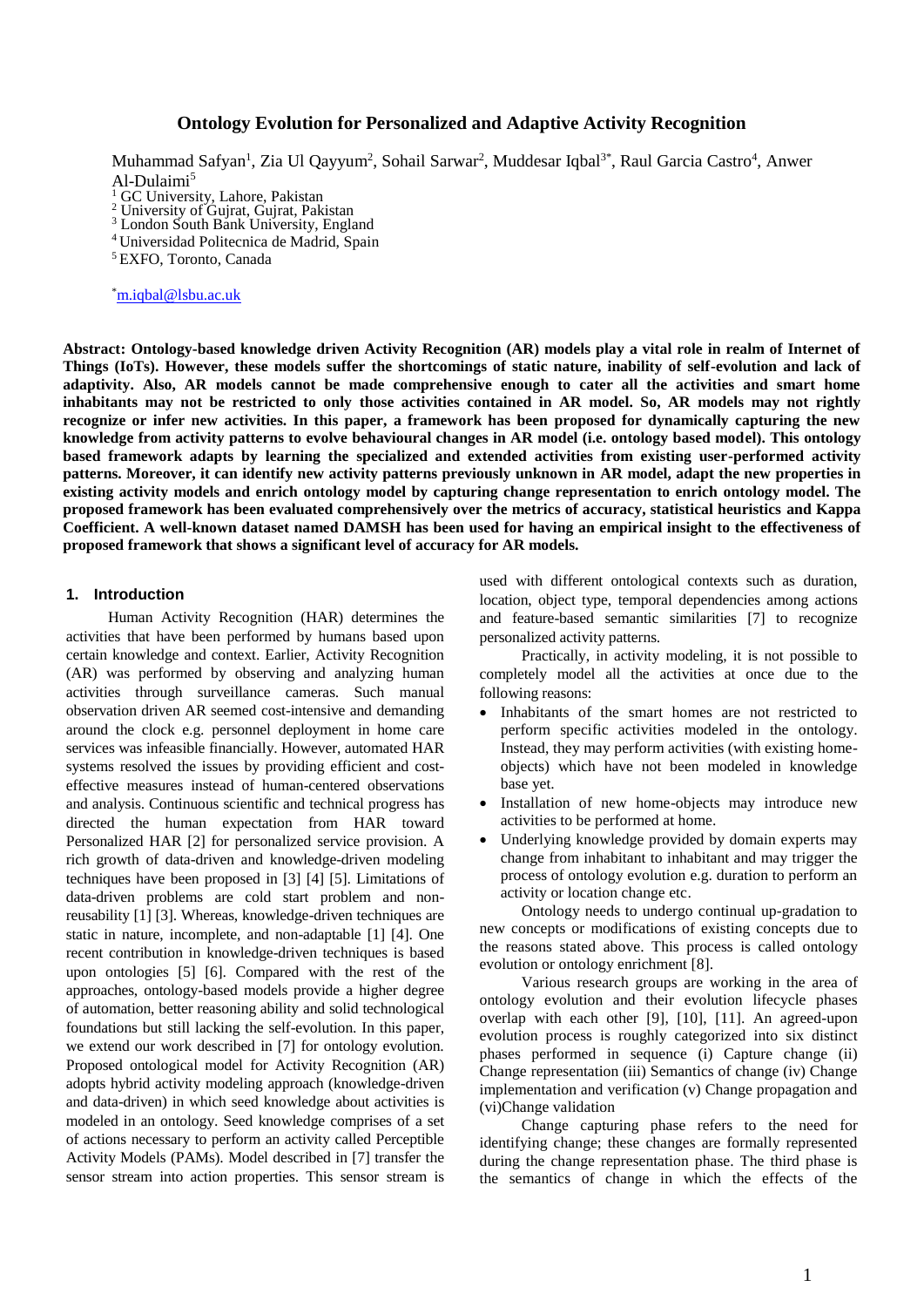# **Ontology Evolution for Personalized and Adaptive Activity Recognition**

Muhammad Safyan<sup>1</sup>, Zia Ul Qayyum<sup>2</sup>, Sohail Sarwar<sup>2</sup>, Muddesar Iqbal<sup>3\*</sup>, Raul Garcia Castro<sup>4</sup>, Anwer Al-Dulaimi<sup>5</sup>

<sup>1</sup> GC University, Lahore, Pakistan

<sup>2</sup> University of Gujrat, Gujrat, Pakistan <sup>3</sup> London South Bank University, England

<sup>4</sup> Universidad Politecnica de Madrid, Spain

<sup>5</sup>EXFO, Toronto, Canada

\*[m.iqbal@l](mailto:m.iqbal@)sbu.ac.uk

**Abstract: Ontology-based knowledge driven Activity Recognition (AR) models play a vital role in realm of Internet of Things (IoTs). However, these models suffer the shortcomings of static nature, inability of self-evolution and lack of adaptivity. Also, AR models cannot be made comprehensive enough to cater all the activities and smart home inhabitants may not be restricted to only those activities contained in AR model. So, AR models may not rightly recognize or infer new activities. In this paper, a framework has been proposed for dynamically capturing the new knowledge from activity patterns to evolve behavioural changes in AR model (i.e. ontology based model). This ontology based framework adapts by learning the specialized and extended activities from existing user-performed activity patterns. Moreover, it can identify new activity patterns previously unknown in AR model, adapt the new properties in existing activity models and enrich ontology model by capturing change representation to enrich ontology model. The proposed framework has been evaluated comprehensively over the metrics of accuracy, statistical heuristics and Kappa Coefficient. A well-known dataset named DAMSH has been used for having an empirical insight to the effectiveness of proposed framework that shows a significant level of accuracy for AR models.**

#### **1. Introduction**

Human Activity Recognition (HAR) determines the activities that have been performed by humans based upon certain knowledge and context. Earlier, Activity Recognition (AR) was performed by observing and analyzing human activities through surveillance cameras. Such manual observation driven AR seemed cost-intensive and demanding around the clock e.g. personnel deployment in home care services was infeasible financially. However, automated HAR systems resolved the issues by providing efficient and costeffective measures instead of human-centered observations and analysis. Continuous scientific and technical progress has directed the human expectation from HAR toward Personalized HAR [2] for personalized service provision. A rich growth of data-driven and knowledge-driven modeling techniques have been proposed in [3] [4] [5]. Limitations of data-driven problems are cold start problem and nonreusability [1] [3]. Whereas, knowledge-driven techniques are static in nature, incomplete, and non-adaptable [1] [4]. One recent contribution in knowledge-driven techniques is based upon ontologies [5] [6]. Compared with the rest of the approaches, ontology-based models provide a higher degree of automation, better reasoning ability and solid technological foundations but still lacking the self-evolution. In this paper, we extend our work described in [7] for ontology evolution. Proposed ontological model for Activity Recognition (AR) adopts hybrid activity modeling approach (knowledge-driven and data-driven) in which seed knowledge about activities is modeled in an ontology. Seed knowledge comprises of a set of actions necessary to perform an activity called Perceptible Activity Models (PAMs). Model described in [7] transfer the sensor stream into action properties. This sensor stream is used with different ontological contexts such as duration, location, object type, temporal dependencies among actions and feature-based semantic similarities [7] to recognize personalized activity patterns.

Practically, in activity modeling, it is not possible to completely model all the activities at once due to the following reasons:

- Inhabitants of the smart homes are not restricted to perform specific activities modeled in the ontology. Instead, they may perform activities (with existing homeobjects) which have not been modeled in knowledge base yet.
- Installation of new home-objects may introduce new activities to be performed at home.
- Underlying knowledge provided by domain experts may change from inhabitant to inhabitant and may trigger the process of ontology evolution e.g. duration to perform an activity or location change etc.

Ontology needs to undergo continual up-gradation to new concepts or modifications of existing concepts due to the reasons stated above. This process is called ontology evolution or ontology enrichment [8].

Various research groups are working in the area of ontology evolution and their evolution lifecycle phases overlap with each other [9], [10], [11]. An agreed-upon evolution process is roughly categorized into six distinct phases performed in sequence (i) Capture change (ii) Change representation (iii) Semantics of change (iv) Change implementation and verification (v) Change propagation and (vi)Change validation

Change capturing phase refers to the need for identifying change; these changes are formally represented during the change representation phase. The third phase is the semantics of change in which the effects of the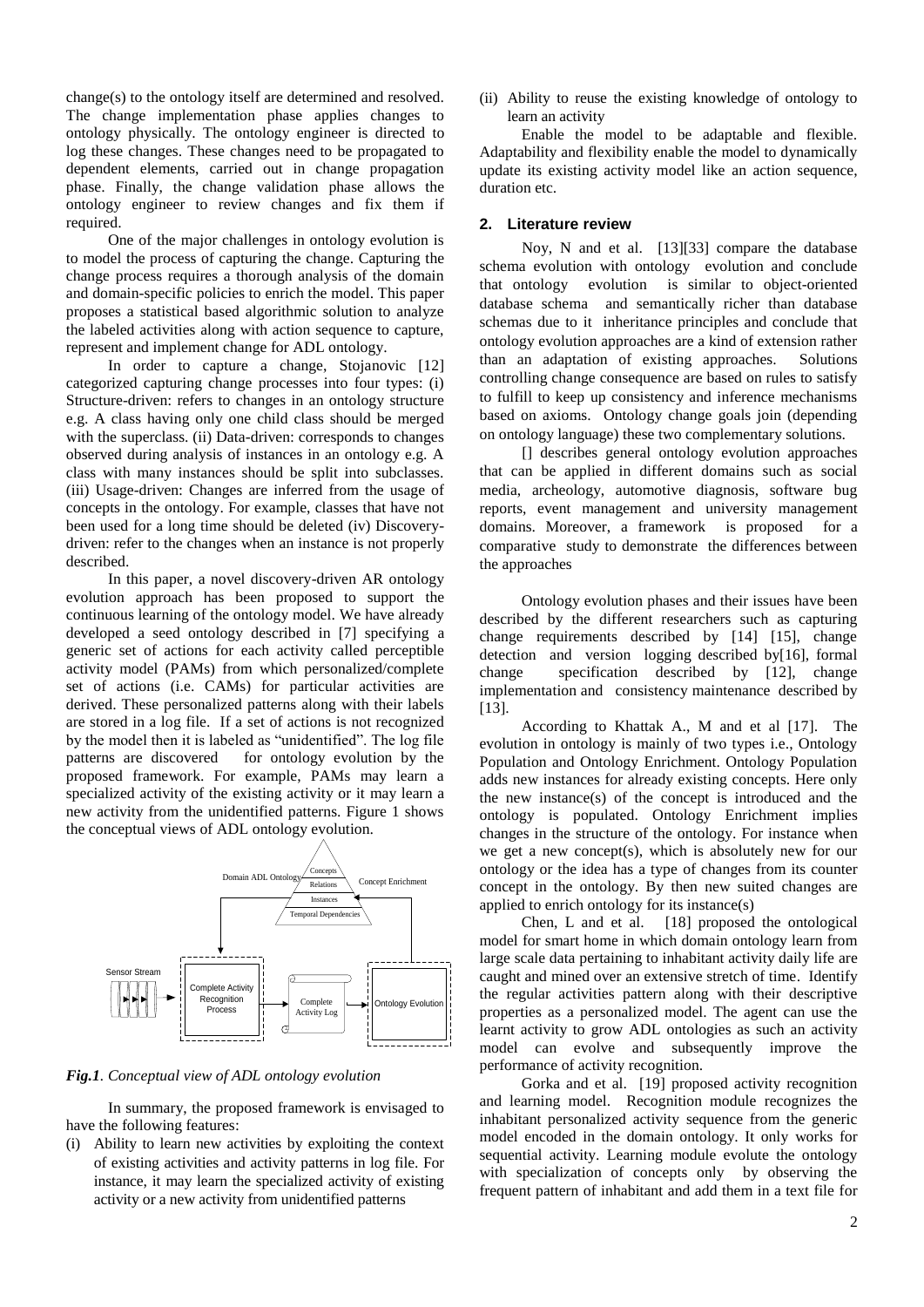change(s) to the ontology itself are determined and resolved. The change implementation phase applies changes to ontology physically. The ontology engineer is directed to log these changes. These changes need to be propagated to dependent elements, carried out in change propagation phase. Finally, the change validation phase allows the ontology engineer to review changes and fix them if required.

One of the major challenges in ontology evolution is to model the process of capturing the change. Capturing the change process requires a thorough analysis of the domain and domain-specific policies to enrich the model. This paper proposes a statistical based algorithmic solution to analyze the labeled activities along with action sequence to capture, represent and implement change for ADL ontology.

In order to capture a change, Stojanovic [12] categorized capturing change processes into four types: (i) Structure-driven: refers to changes in an ontology structure e.g. A class having only one child class should be merged with the superclass. (ii) Data-driven: corresponds to changes observed during analysis of instances in an ontology e.g. A class with many instances should be split into subclasses. (iii) Usage-driven: Changes are inferred from the usage of concepts in the ontology. For example, classes that have not been used for a long time should be deleted (iv) Discoverydriven: refer to the changes when an instance is not properly described.

In this paper, a novel discovery-driven AR ontology evolution approach has been proposed to support the continuous learning of the ontology model. We have already developed a seed ontology described in [7] specifying a generic set of actions for each activity called perceptible activity model (PAMs) from which personalized/complete set of actions (i.e. CAMs) for particular activities are derived. These personalized patterns along with their labels are stored in a log file. If a set of actions is not recognized by the model then it is labeled as "unidentified". The log file patterns are discovered for ontology evolution by the proposed framework. For example, PAMs may learn a specialized activity of the existing activity or it may learn a new activity from the unidentified patterns. Figure 1 shows the conceptual views of ADL ontology evolution.



*Fig.1. Conceptual view of ADL ontology evolution*

In summary, the proposed framework is envisaged to have the following features:

(i) Ability to learn new activities by exploiting the context of existing activities and activity patterns in log file. For instance, it may learn the specialized activity of existing activity or a new activity from unidentified patterns

(ii) Ability to reuse the existing knowledge of ontology to learn an activity

Enable the model to be adaptable and flexible. Adaptability and flexibility enable the model to dynamically update its existing activity model like an action sequence, duration etc.

## **2. Literature review**

Noy, N and et al. [13][33] compare the database schema evolution with ontology evolution and conclude that ontology evolution is similar to object-oriented database schema and semantically richer than database schemas due to it inheritance principles and conclude that ontology evolution approaches are a kind of extension rather than an adaptation of existing approaches. Solutions controlling change consequence are based on rules to satisfy to fulfill to keep up consistency and inference mechanisms based on axioms. Ontology change goals join (depending on ontology language) these two complementary solutions.

[] describes general ontology evolution approaches that can be applied in different domains such as social media, archeology, automotive diagnosis, software bug reports, event management and university management domains. Moreover, a framework is proposed for a comparative study to demonstrate the differences between the approaches

Ontology evolution phases and their issues have been described by the different researchers such as capturing change requirements described by [14] [15], change detection and version logging described by[16], formal change specification described by [12], change implementation and consistency maintenance described by [13].

According to Khattak A., M and et al [17]. The evolution in ontology is mainly of two types i.e., Ontology Population and Ontology Enrichment. Ontology Population adds new instances for already existing concepts. Here only the new instance(s) of the concept is introduced and the ontology is populated. Ontology Enrichment implies changes in the structure of the ontology. For instance when we get a new concept(s), which is absolutely new for our ontology or the idea has a type of changes from its counter concept in the ontology. By then new suited changes are applied to enrich ontology for its instance(s)

Chen, L and et al. [18] proposed the ontological model for smart home in which domain ontology learn from large scale data pertaining to inhabitant activity daily life are caught and mined over an extensive stretch of time. Identify the regular activities pattern along with their descriptive properties as a personalized model. The agent can use the learnt activity to grow ADL ontologies as such an activity model can evolve and subsequently improve the performance of activity recognition.

Gorka and et al. [19] proposed activity recognition and learning model. Recognition module recognizes the inhabitant personalized activity sequence from the generic model encoded in the domain ontology. It only works for sequential activity. Learning module evolute the ontology with specialization of concepts only by observing the frequent pattern of inhabitant and add them in a text file for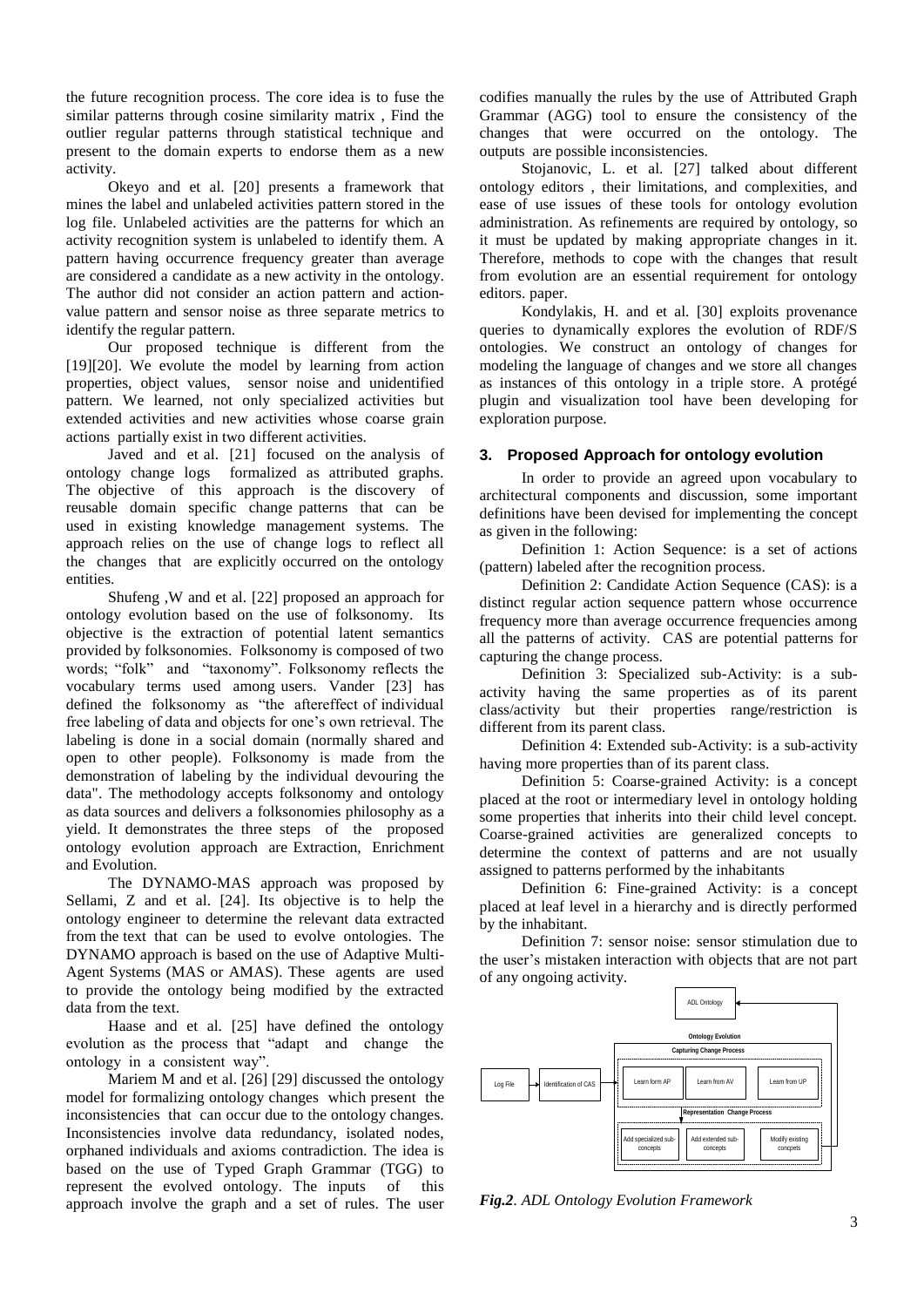the future recognition process. The core idea is to fuse the similar patterns through cosine similarity matrix , Find the outlier regular patterns through statistical technique and present to the domain experts to endorse them as a new activity.

Okeyo and et al. [20] presents a framework that mines the label and unlabeled activities pattern stored in the log file. Unlabeled activities are the patterns for which an activity recognition system is unlabeled to identify them. A pattern having occurrence frequency greater than average are considered a candidate as a new activity in the ontology. The author did not consider an action pattern and actionvalue pattern and sensor noise as three separate metrics to identify the regular pattern.

Our proposed technique is different from the [19][20]. We evolute the model by learning from action properties, object values, sensor noise and unidentified pattern. We learned, not only specialized activities but extended activities and new activities whose coarse grain actions partially exist in two different activities.

Javed and et al. [21] focused on the analysis of ontology change logs formalized as attributed graphs. The objective of this approach is the discovery of reusable domain specific change patterns that can be used in existing knowledge management systems. The approach relies on the use of change logs to reflect all the changes that are explicitly occurred on the ontology entities.

Shufeng ,W and et al. [22] proposed an approach for ontology evolution based on the use of folksonomy. Its objective is the extraction of potential latent semantics provided by folksonomies. Folksonomy is composed of two words; "folk" and "taxonomy". Folksonomy reflects the vocabulary terms used among users. Vander [23] has defined the folksonomy as "the aftereffect of individual free labeling of data and objects for one's own retrieval. The labeling is done in a social domain (normally shared and open to other people). Folksonomy is made from the demonstration of labeling by the individual devouring the data". The methodology accepts folksonomy and ontology as data sources and delivers a folksonomies philosophy as a yield. It demonstrates the three steps of the proposed ontology evolution approach are Extraction, Enrichment and Evolution.

The DYNAMO-MAS approach was proposed by Sellami, Z and et al. [24]. Its objective is to help the ontology engineer to determine the relevant data extracted from the text that can be used to evolve ontologies. The DYNAMO approach is based on the use of Adaptive Multi-Agent Systems (MAS or AMAS). These agents are used to provide the ontology being modified by the extracted data from the text.

Haase and et al. [25] have defined the ontology evolution as the process that "adapt and change the ontology in a consistent way".

Mariem M and et al. [26] [29] discussed the ontology model for formalizing ontology changes which present the inconsistencies that can occur due to the ontology changes. Inconsistencies involve data redundancy, isolated nodes, orphaned individuals and axioms contradiction. The idea is based on the use of Typed Graph Grammar (TGG) to represent the evolved ontology. The inputs of this approach involve the graph and a set of rules. The user codifies manually the rules by the use of Attributed Graph Grammar (AGG) tool to ensure the consistency of the changes that were occurred on the ontology. The outputs are possible inconsistencies.

Stojanovic, L. et al. [27] talked about different ontology editors , their limitations, and complexities, and ease of use issues of these tools for ontology evolution administration. As refinements are required by ontology, so it must be updated by making appropriate changes in it. Therefore, methods to cope with the changes that result from evolution are an essential requirement for ontology editors. paper.

Kondylakis, H. and et al. [30] exploits provenance queries to dynamically explores the evolution of RDF/S ontologies. We construct an ontology of changes for modeling the language of changes and we store all changes as instances of this ontology in a triple store. A protégé plugin and visualization tool have been developing for exploration purpose.

## **3. Proposed Approach for ontology evolution**

In order to provide an agreed upon vocabulary to architectural components and discussion, some important definitions have been devised for implementing the concept as given in the following:

Definition 1: Action Sequence: is a set of actions (pattern) labeled after the recognition process.

Definition 2: Candidate Action Sequence (CAS): is a distinct regular action sequence pattern whose occurrence frequency more than average occurrence frequencies among all the patterns of activity. CAS are potential patterns for capturing the change process.

Definition 3: Specialized sub-Activity: is a subactivity having the same properties as of its parent class/activity but their properties range/restriction is different from its parent class.

Definition 4: Extended sub-Activity: is a sub-activity having more properties than of its parent class.

Definition 5: Coarse-grained Activity: is a concept placed at the root or intermediary level in ontology holding some properties that inherits into their child level concept. Coarse-grained activities are generalized concepts to determine the context of patterns and are not usually assigned to patterns performed by the inhabitants

Definition 6: Fine-grained Activity: is a concept placed at leaf level in a hierarchy and is directly performed by the inhabitant.

Definition 7: sensor noise: sensor stimulation due to the user's mistaken interaction with objects that are not part of any ongoing activity.



*Fig.2. ADL Ontology Evolution Framework*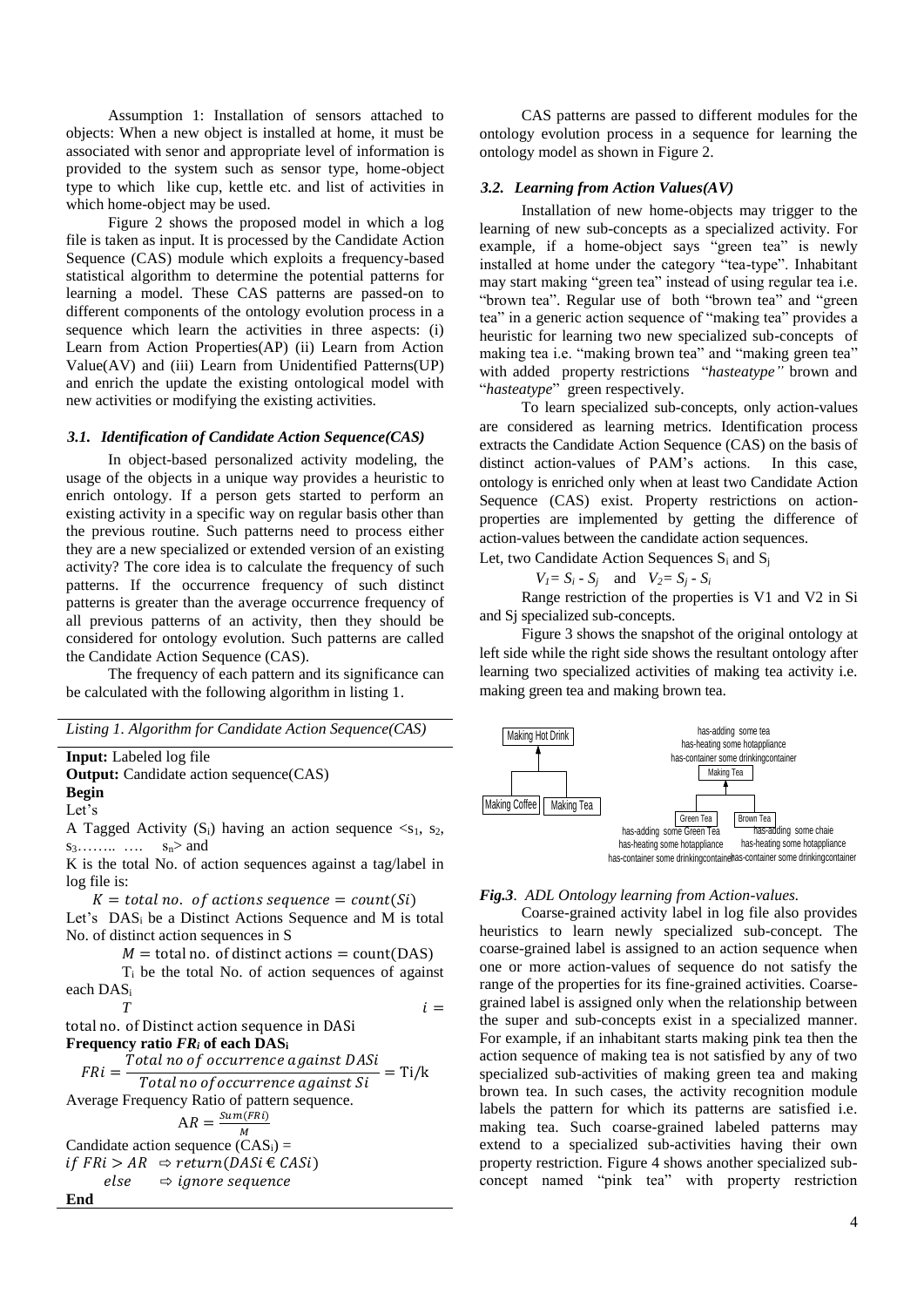Assumption 1: Installation of sensors attached to objects: When a new object is installed at home, it must be associated with senor and appropriate level of information is provided to the system such as sensor type, home-object type to which like cup, kettle etc. and list of activities in which home-object may be used.

Figure 2 shows the proposed model in which a log file is taken as input. It is processed by the Candidate Action Sequence (CAS) module which exploits a frequency-based statistical algorithm to determine the potential patterns for learning a model. These CAS patterns are passed-on to different components of the ontology evolution process in a sequence which learn the activities in three aspects: (i) Learn from Action Properties(AP) (ii) Learn from Action Value(AV) and (iii) Learn from Unidentified Patterns(UP) and enrich the update the existing ontological model with new activities or modifying the existing activities.

## *3.1. Identification of Candidate Action Sequence(CAS)*

In object-based personalized activity modeling, the usage of the objects in a unique way provides a heuristic to enrich ontology. If a person gets started to perform an existing activity in a specific way on regular basis other than the previous routine. Such patterns need to process either they are a new specialized or extended version of an existing activity? The core idea is to calculate the frequency of such patterns. If the occurrence frequency of such distinct patterns is greater than the average occurrence frequency of all previous patterns of an activity, then they should be considered for ontology evolution. Such patterns are called the Candidate Action Sequence (CAS).

The frequency of each pattern and its significance can be calculated with the following algorithm in listing 1.

|  | Listing 1. Algorithm for Candidate Action Sequence(CAS) |  |
|--|---------------------------------------------------------|--|
|--|---------------------------------------------------------|--|

#### **Input:** Labeled log file

**Output:** Candidate action sequence(CAS) **Begin**

Let's

A Tagged Activity  $(S_i)$  having an action sequence  $\langle S_1, S_2, \rangle$  $s_3$ …….. ….  $s_n$ > and

K is the total No. of action sequences against a tag/label in log file is:

 $K =$  total no. of actions sequence = count(Si) Let's DAS<sub>i</sub> be a Distinct Actions Sequence and M is total No. of distinct action sequences in S

 $M =$  total no. of distinct actions = count(DAS)

 $T_i$  be the total No. of action sequences of against each DAS<sup>i</sup>

$$
T \hspace{2.6cm} i =
$$

**End**

total no. of Distinct action sequence in DASi **Frequency ratio** *FR<sup>i</sup>* **of each DAS<sup>i</sup>**

 $FRi =$ Total no of occurrence against DASi  $\frac{3}{\pi}$  Total no of occurrence against  $Si$  = Ti/k Average Frequency Ratio of pattern sequence.  $AR = \frac{Sum(FRi)}{M}$ M Candidate action sequence  $(CAS_i)$  =

 $if FRi > AR \Rightarrow return(DASi \in CASi)$  $else \Rightarrow \text{ i} \neq 0$ 

CAS patterns are passed to different modules for the ontology evolution process in a sequence for learning the ontology model as shown in Figure 2.

#### *3.2. Learning from Action Values(AV)*

Installation of new home-objects may trigger to the learning of new sub-concepts as a specialized activity. For example, if a home-object says "green tea" is newly installed at home under the category "tea-type". Inhabitant may start making "green tea" instead of using regular tea i.e. "brown tea". Regular use of both "brown tea" and "green tea" in a generic action sequence of "making tea" provides a heuristic for learning two new specialized sub-concepts of making tea i.e. "making brown tea" and "making green tea" with added property restrictions "*hasteatype"* brown and "*hasteatype*" green respectively.

To learn specialized sub-concepts, only action-values are considered as learning metrics. Identification process extracts the Candidate Action Sequence (CAS) on the basis of distinct action-values of PAM's actions. In this case, ontology is enriched only when at least two Candidate Action Sequence (CAS) exist. Property restrictions on actionproperties are implemented by getting the difference of action-values between the candidate action sequences.

Let, two Candidate Action Sequences  $S_i$  and  $S_i$ 

 $V_1 = S_i - S_i$  and  $V_2 = S_i - S_i$ 

Range restriction of the properties is V1 and V2 in Si and Sj specialized sub-concepts.

Figure 3 shows the snapshot of the original ontology at left side while the right side shows the resultant ontology after learning two specialized activities of making tea activity i.e. making green tea and making brown tea.



#### *Fig.3. ADL Ontology learning from Action-values.*

Coarse-grained activity label in log file also provides heuristics to learn newly specialized sub-concept. The coarse-grained label is assigned to an action sequence when one or more action-values of sequence do not satisfy the range of the properties for its fine-grained activities. Coarsegrained label is assigned only when the relationship between the super and sub-concepts exist in a specialized manner. For example, if an inhabitant starts making pink tea then the action sequence of making tea is not satisfied by any of two specialized sub-activities of making green tea and making brown tea. In such cases, the activity recognition module labels the pattern for which its patterns are satisfied i.e. making tea. Such coarse-grained labeled patterns may extend to a specialized sub-activities having their own property restriction. Figure 4 shows another specialized subconcept named "pink tea" with property restriction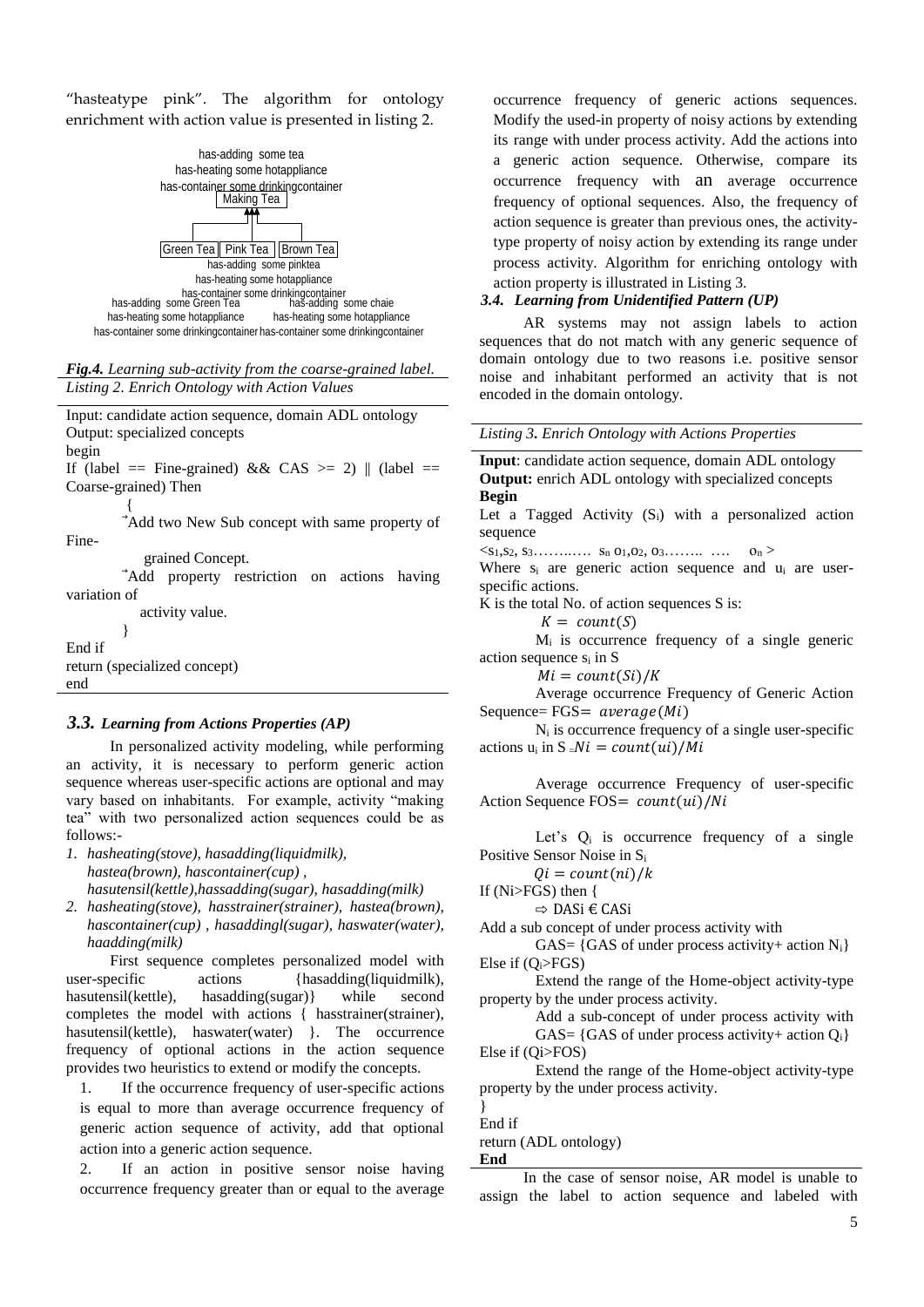"hasteatype pink". The algorithm for ontology enrichment with action value is presented in listing 2.



#### *Fig.4. Learning sub-activity from the coarse-grained label. Listing 2. Enrich Ontology with Action Values*

Input: candidate action sequence, domain ADL ontology Output: specialized concepts begin If (label == Fine-grained) && CAS >= 2) || (label == Coarse-grained) Then { Add two New Sub concept with same property of Fine grained Concept. Add property restriction on actions having variation of activity value. } End if return (specialized concept) end

# *3.3. Learning from Actions Properties (AP)*

In personalized activity modeling, while performing an activity, it is necessary to perform generic action sequence whereas user-specific actions are optional and may vary based on inhabitants. For example, activity "making tea" with two personalized action sequences could be as follows:-

*1. hasheating(stove), hasadding(liquidmilk), hastea(brown), hascontainer(cup) , hasutensil(kettle),hassadding(sugar), hasadding(milk)*

*2. hasheating(stove), hasstrainer(strainer), hastea(brown), hascontainer(cup) , hasaddingl(sugar), haswater(water), haadding(milk)*

First sequence completes personalized model with user-specific actions {hasadding(liquidmilk), hasutensil(kettle), hasadding(sugar)} while second completes the model with actions { hasstrainer(strainer), hasutensil(kettle), haswater(water) }. The occurrence frequency of optional actions in the action sequence provides two heuristics to extend or modify the concepts.

1. If the occurrence frequency of user-specific actions is equal to more than average occurrence frequency of generic action sequence of activity, add that optional action into a generic action sequence.

2. If an action in positive sensor noise having occurrence frequency greater than or equal to the average

occurrence frequency of generic actions sequences. Modify the used-in property of noisy actions by extending its range with under process activity. Add the actions into a generic action sequence. Otherwise, compare its occurrence frequency with an average occurrence frequency of optional sequences. Also, the frequency of action sequence is greater than previous ones, the activitytype property of noisy action by extending its range under process activity. Algorithm for enriching ontology with action property is illustrated in Listing 3.

# *3.4. Learning from Unidentified Pattern (UP)*

AR systems may not assign labels to action sequences that do not match with any generic sequence of domain ontology due to two reasons i.e. positive sensor noise and inhabitant performed an activity that is not encoded in the domain ontology.

*Listing 3. Enrich Ontology with Actions Properties*

**Input**: candidate action sequence, domain ADL ontology **Output:** enrich ADL ontology with specialized concepts **Begin** Let a Tagged Activity  $(S_i)$  with a personalized action sequence  $\langle s_1, s_2, s_3, \ldots, s_n, s_1, o_2, o_3, \ldots, \ldots, o_n \rangle$ Where  $s_i$  are generic action sequence and  $u_i$  are userspecific actions. K is the total No. of action sequences S is:  $K = count(S)$  $M<sub>i</sub>$  is occurrence frequency of a single generic action sequence s<sup>i</sup> in S  $Mi = count(Si)/K$ Average occurrence Frequency of Generic Action Sequence=  $FGS= average(Mi)$  $N_i$  is occurrence frequency of a single user-specific actions  $u_i$  in  $S = Ni = count(u_i)/Mi$ 

Average occurrence Frequency of user-specific Action Sequence FOS=  $count(ui)/Ni$ 

Let's  $Q_i$  is occurrence frequency of a single Positive Sensor Noise in S<sup>i</sup>

 $Qi = count(ni)/k$ 

If (Ni>FGS) then {

⇨ DASi € CASi

Add a sub concept of under process activity with

GAS= {GAS of under process activity+ action  $N_i$ } Else if (Qi>FGS)

Extend the range of the Home-object activity-type property by the under process activity.

Add a sub-concept of under process activity with GAS=  $\{GAS \}$  of under process activity+ action  $Q_i\}$ Else if (Qi>FOS)

Extend the range of the Home-object activity-type property by the under process activity.

} End if

return (ADL ontology)

**End**

In the case of sensor noise, AR model is unable to assign the label to action sequence and labeled with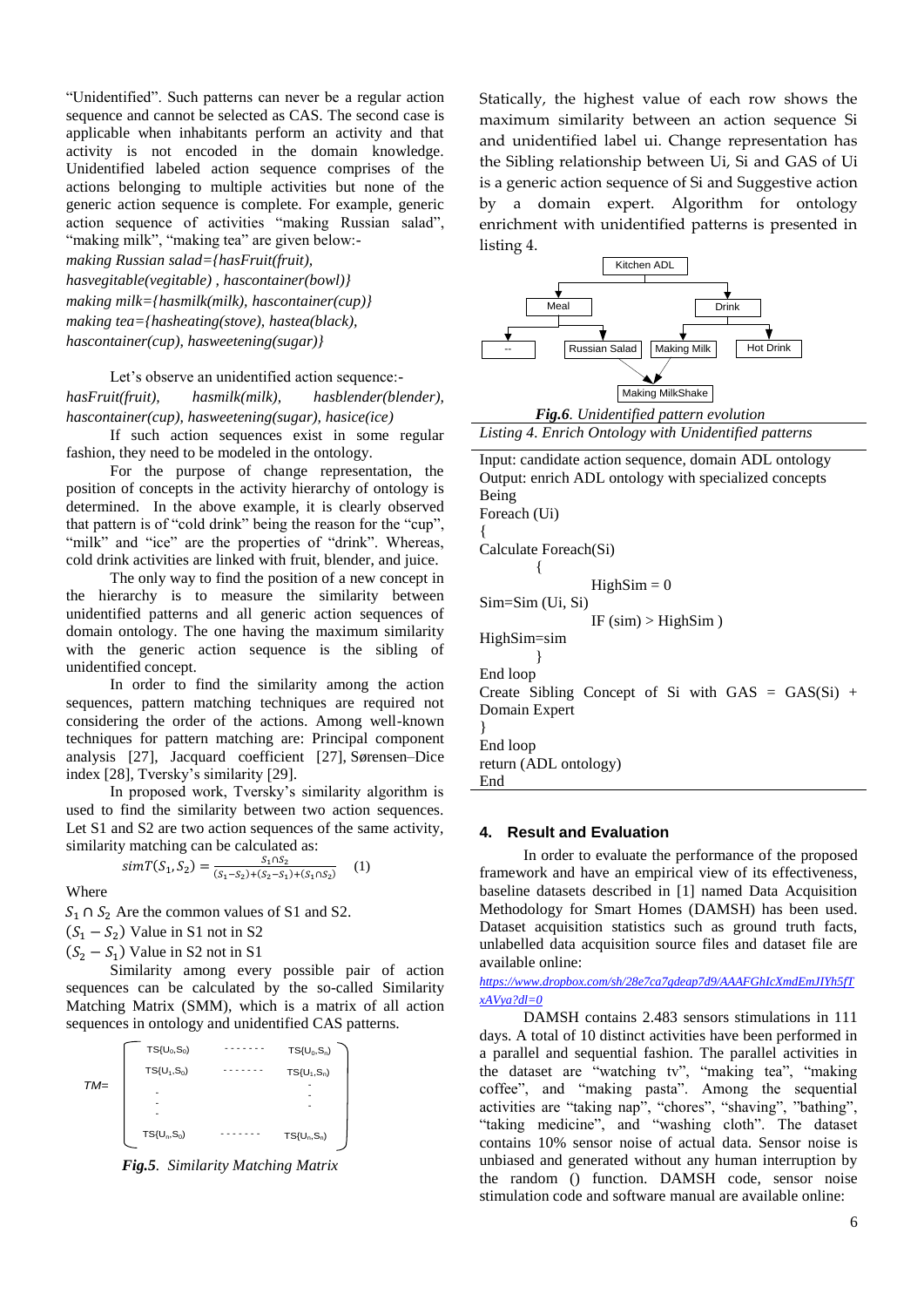"Unidentified". Such patterns can never be a regular action sequence and cannot be selected as CAS. The second case is applicable when inhabitants perform an activity and that activity is not encoded in the domain knowledge. Unidentified labeled action sequence comprises of the actions belonging to multiple activities but none of the generic action sequence is complete. For example, generic action sequence of activities "making Russian salad", "making milk", "making tea" are given below:-

*making Russian salad={hasFruit(fruit), hasvegitable(vegitable) , hascontainer(bowl)} making milk={hasmilk(milk), hascontainer(cup)}* 

*making tea={hasheating(stove), hastea(black), hascontainer(cup), hasweetening(sugar)}*

Let's observe an unidentified action sequence: *hasFruit(fruit), hasmilk(milk), hasblender(blender), hascontainer(cup), hasweetening(sugar), hasice(ice)*

If such action sequences exist in some regular fashion, they need to be modeled in the ontology.

For the purpose of change representation, the position of concepts in the activity hierarchy of ontology is determined. In the above example, it is clearly observed that pattern is of "cold drink" being the reason for the "cup", "milk" and "ice" are the properties of "drink". Whereas, cold drink activities are linked with fruit, blender, and juice.

The only way to find the position of a new concept in the hierarchy is to measure the similarity between unidentified patterns and all generic action sequences of domain ontology. The one having the maximum similarity with the generic action sequence is the sibling of unidentified concept.

In order to find the similarity among the action sequences, pattern matching techniques are required not considering the order of the actions. Among well-known techniques for pattern matching are: Principal component analysis [27], Jacquard coefficient [27], Sørensen–Dice index [28], Tversky's similarity [29].

In proposed work, Tversky's similarity algorithm is used to find the similarity between two action sequences. Let S1 and S2 are two action sequences of the same activity, similarity matching can be calculated as:

 $simT(S_1, S_2) = \frac{S_1 \cap S_2}{(S_1 - S_2) + (S_2 - S_1)}$  $(S_1 - S_2) + (S_2 - S_1) + (S_1 \cap S_2)$ (1)

Where

 $S_1 \cap S_2$  Are the common values of S1 and S2.

 $(S_1 - S_2)$  Value in S1 not in S2

 $(S_2 - S_1)$  Value in S2 not in S1

Similarity among every possible pair of action sequences can be calculated by the so-called Similarity Matching Matrix (SMM), which is a matrix of all action sequences in ontology and unidentified CAS patterns.



*Fig.5. Similarity Matching Matrix*

Statically, the highest value of each row shows the maximum similarity between an action sequence Si and unidentified label ui. Change representation has the Sibling relationship between Ui, Si and GAS of Ui is a generic action sequence of Si and Suggestive action by a domain expert. Algorithm for ontology enrichment with unidentified patterns is presented in listing 4.



*Listing 4. Enrich Ontology with Unidentified patterns*

| Input: candidate action sequence, domain ADL ontology |
|-------------------------------------------------------|
| Output: enrich ADL ontology with specialized concepts |
| Being                                                 |
| Foreach (Ui)                                          |
|                                                       |
| Calculate Foreach(Si)                                 |
|                                                       |
| $HighSim = 0$                                         |
| $Sim=Sim(Ui, Si)$                                     |
| IF $(sim) > HighSim$ )                                |
| $HighSim=sim$                                         |
|                                                       |
| End loop                                              |
| Create Sibling Concept of Si with $GAS = GAS(Si)$ +   |
| Domain Expert                                         |
|                                                       |
| End loop                                              |
| return (ADL ontology)                                 |
| End                                                   |
|                                                       |

#### **4. Result and Evaluation**

In order to evaluate the performance of the proposed framework and have an empirical view of its effectiveness, baseline datasets described in [1] named Data Acquisition Methodology for Smart Homes (DAMSH) has been used. Dataset acquisition statistics such as ground truth facts, unlabelled data acquisition source files and dataset file are available online:

*[https://www.dropbox.com/sh/28e7ca7gdeap7d9/AAAFGhIcXmdEmJIYh5fT](https://www.dropbox.com/sh/28e7ca7gdeap7d9/AAAFGhIcXmdEmJIYh5fTxAVya?dl=0) [xAVya?dl=0](https://www.dropbox.com/sh/28e7ca7gdeap7d9/AAAFGhIcXmdEmJIYh5fTxAVya?dl=0)*

DAMSH contains 2.483 sensors stimulations in 111 days. A total of 10 distinct activities have been performed in a parallel and sequential fashion. The parallel activities in the dataset are "watching tv", "making tea", "making coffee", and "making pasta". Among the sequential activities are "taking nap", "chores", "shaving", "bathing", "taking medicine", and "washing cloth". The dataset contains 10% sensor noise of actual data. Sensor noise is unbiased and generated without any human interruption by the random () function. DAMSH code, sensor noise stimulation code and software manual are available online: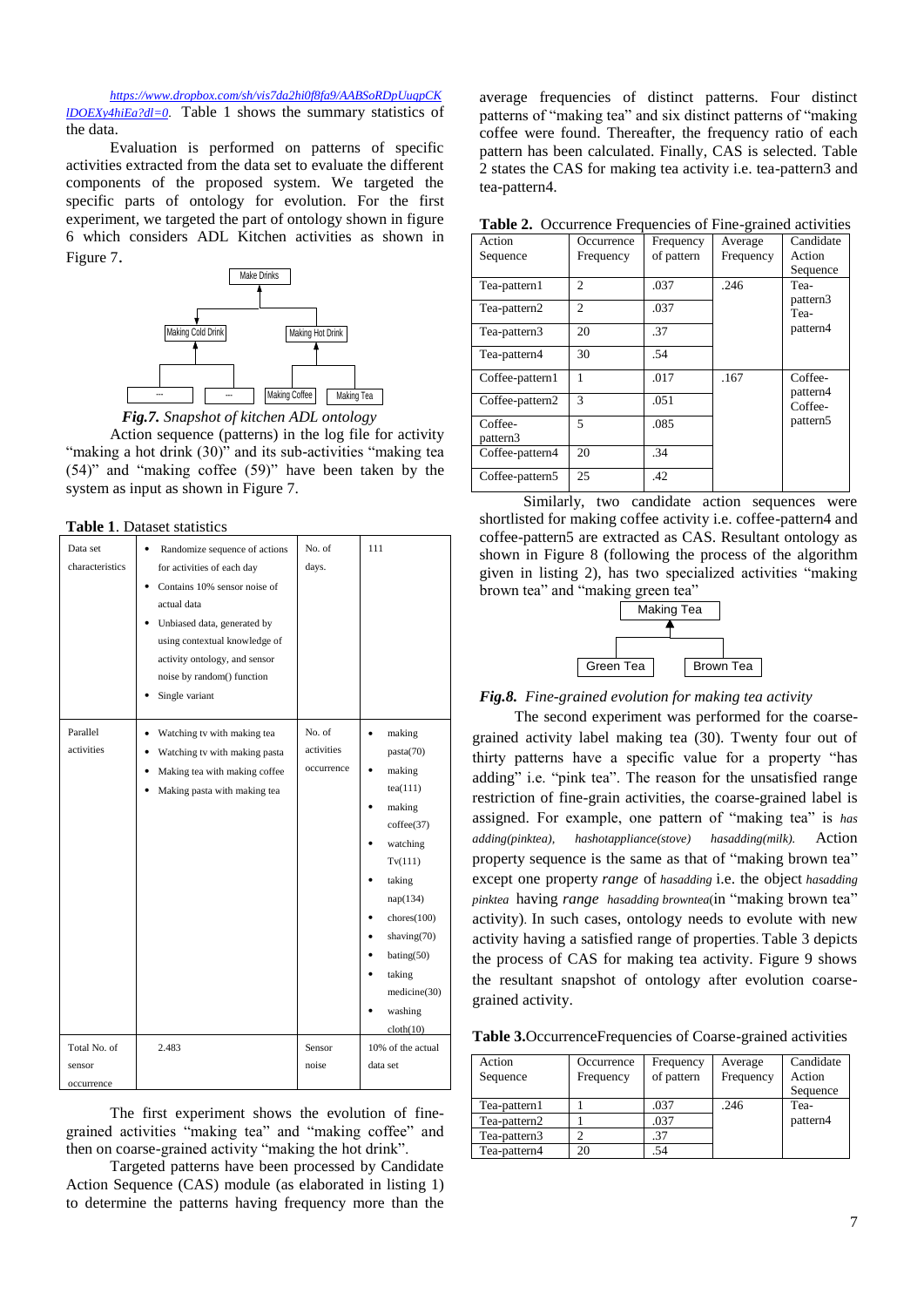*[https://www.dropbox.com/sh/vis7da2hi0f8fa9/AABSoRDpUuqpCK](https://www.dropbox.com/sh/vis7da2hi0f8fa9/AABSoRDpUuqpCKlDOEXy4hiEa?dl=0) [lDOEXy4hiEa?dl=0](https://www.dropbox.com/sh/vis7da2hi0f8fa9/AABSoRDpUuqpCKlDOEXy4hiEa?dl=0)*. Table 1 shows the summary statistics of the data.

Evaluation is performed on patterns of specific activities extracted from the data set to evaluate the different components of the proposed system. We targeted the specific parts of ontology for evolution. For the first experiment, we targeted the part of ontology shown in figure 6 which considers ADL Kitchen activities as shown in Figure 7.





Action sequence (patterns) in the log file for activity "making a hot drink (30)" and its sub-activities "making tea (54)" and "making coffee (59)" have been taken by the system as input as shown in Figure 7.

**Table 1**. Dataset statistics

| Data set<br>characteristics | Randomize sequence of actions<br>$\bullet$<br>for activities of each day<br>Contains 10% sensor noise of<br>actual data<br>Unbiased data, generated by<br>using contextual knowledge of<br>activity ontology, and sensor<br>noise by random() function | No. of<br>days.                    | 111                                                                                                                                                                                                                          |
|-----------------------------|--------------------------------------------------------------------------------------------------------------------------------------------------------------------------------------------------------------------------------------------------------|------------------------------------|------------------------------------------------------------------------------------------------------------------------------------------------------------------------------------------------------------------------------|
|                             | Single variant                                                                                                                                                                                                                                         |                                    |                                                                                                                                                                                                                              |
| Parallel<br>activities      | Watching tv with making tea<br>$\bullet$<br>Watching tv with making pasta<br>Making tea with making coffee<br>Making pasta with making tea                                                                                                             | No. of<br>activities<br>occurrence | $\bullet$<br>making<br>pasta(70)<br>making<br>tea(111)<br>making<br>cofree(37)<br>watching<br>Tv(111)<br>taking<br>nap(134)<br>chores(100)<br>shaving $(70)$<br>bating(50)<br>taking<br>medicine(30)<br>washing<br>cloth(10) |
| Total No. of                | 2.483                                                                                                                                                                                                                                                  | Sensor                             | 10% of the actual                                                                                                                                                                                                            |
| sensor<br>occurrence        |                                                                                                                                                                                                                                                        | noise                              | data set                                                                                                                                                                                                                     |

The first experiment shows the evolution of finegrained activities "making tea" and "making coffee" and then on coarse-grained activity "making the hot drink".

Targeted patterns have been processed by Candidate Action Sequence (CAS) module (as elaborated in listing 1) to determine the patterns having frequency more than the

average frequencies of distinct patterns. Four distinct patterns of "making tea" and six distinct patterns of "making coffee were found. Thereafter, the frequency ratio of each pattern has been calculated. Finally, CAS is selected. Table 2 states the CAS for making tea activity i.e. tea-pattern3 and tea-pattern4.

**Table 2.** Occurrence Frequencies of Fine-grained activities

| Action              | Occurrence     | Frequency  | Average   | Candidate            |
|---------------------|----------------|------------|-----------|----------------------|
| Sequence            | Frequency      | of pattern | Frequency | Action               |
|                     |                |            |           | Sequence             |
| Tea-pattern1        | $\mathfrak{D}$ | .037       | .246      | Tea-                 |
| Tea-pattern2        | $\mathfrak{D}$ | .037       |           | pattern3<br>Tea-     |
|                     |                |            |           |                      |
| Tea-pattern3        | 20             | .37        |           | pattern4             |
| Tea-pattern4        | 30             | .54        |           |                      |
|                     |                |            |           |                      |
| Coffee-pattern1     |                | .017       | .167      | Coffee-              |
| Coffee-pattern2     | $\mathcal{R}$  | .051       |           | pattern4<br>Coffee-  |
|                     |                |            |           |                      |
| Coffee-<br>pattern3 | $\overline{5}$ | .085       |           | pattern <sub>5</sub> |
| Coffee-pattern4     | 20             | .34        |           |                      |
| Coffee-pattern5     | 25             | .42        |           |                      |

Similarly, two candidate action sequences were shortlisted for making coffee activity i.e. coffee-pattern4 and coffee-pattern5 are extracted as CAS. Resultant ontology as shown in Figure 8 (following the process of the algorithm given in listing 2), has two specialized activities "making brown tea" and "making green tea"



*Fig.8. Fine-grained evolution for making tea activity*

The second experiment was performed for the coarsegrained activity label making tea (30). Twenty four out of thirty patterns have a specific value for a property "has adding" i.e. "pink tea". The reason for the unsatisfied range restriction of fine-grain activities, the coarse-grained label is assigned. For example, one pattern of "making tea" is *has adding(pinktea), hashotappliance(stove) hasadding(milk).* Action property sequence is the same as that of "making brown tea" except one property *range* of *hasadding* i.e. the object *hasadding pinktea* having *range hasadding browntea*(in "making brown tea" activity). In such cases, ontology needs to evolute with new activity having a satisfied range of properties. Table 3 depicts the process of CAS for making tea activity. Figure 9 shows the resultant snapshot of ontology after evolution coarsegrained activity.

**Table 3.**OccurrenceFrequencies of Coarse-grained activities

| Action<br>Sequence | Occurrence<br>Frequency | Frequency<br>of pattern | Average<br>Frequency | Candidate<br>Action<br>Sequence |
|--------------------|-------------------------|-------------------------|----------------------|---------------------------------|
| Tea-pattern1       |                         | .037                    | .246                 | Tea-                            |
| Tea-pattern2       |                         | .037                    |                      | pattern4                        |
| Tea-pattern3       |                         | .37                     |                      |                                 |
| Tea-pattern4       | 20                      | .54                     |                      |                                 |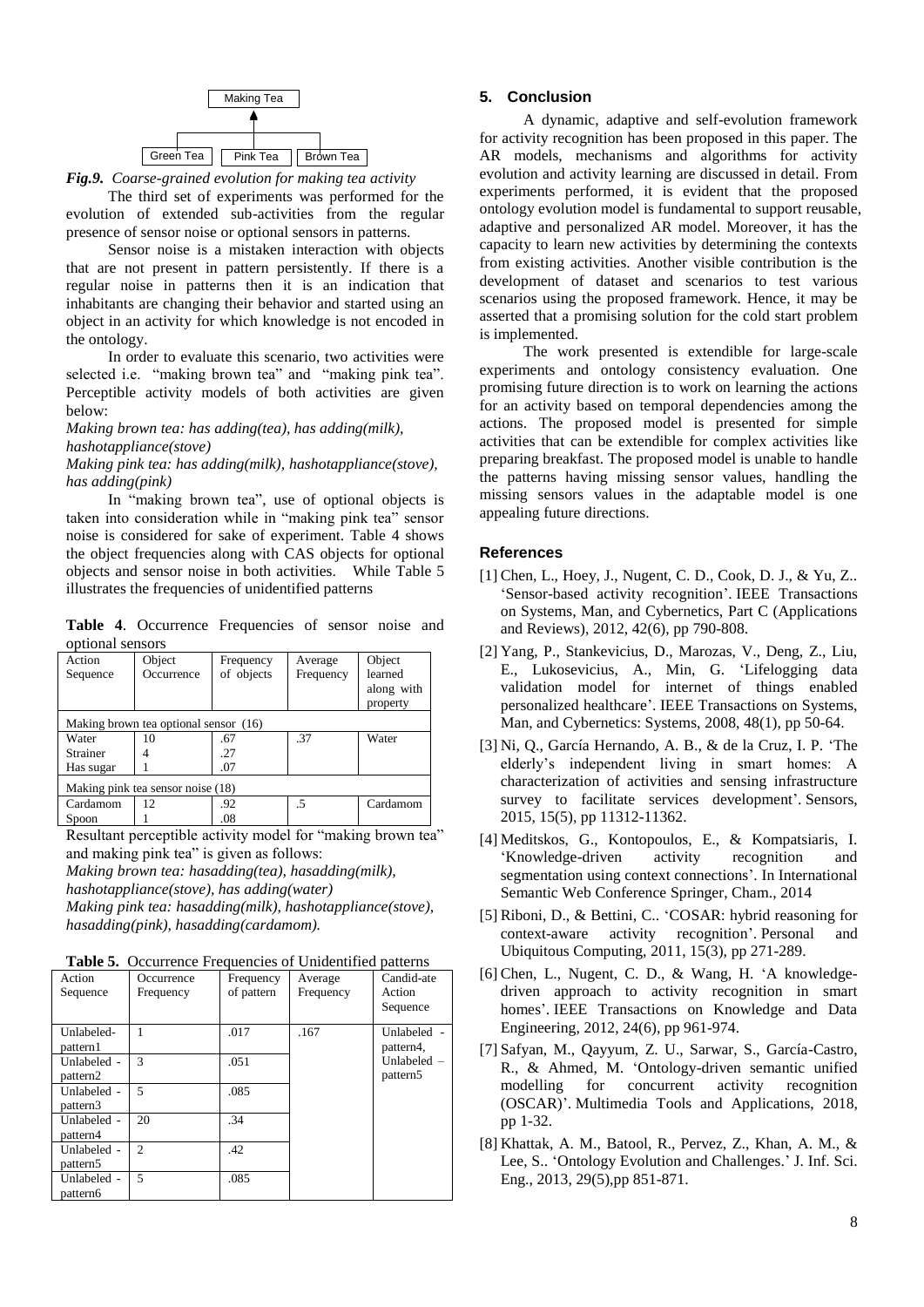

*Fig.9. Coarse-grained evolution for making tea activity*

The third set of experiments was performed for the evolution of extended sub-activities from the regular presence of sensor noise or optional sensors in patterns.

Sensor noise is a mistaken interaction with objects that are not present in pattern persistently. If there is a regular noise in patterns then it is an indication that inhabitants are changing their behavior and started using an object in an activity for which knowledge is not encoded in the ontology.

In order to evaluate this scenario, two activities were selected i.e. "making brown tea" and "making pink tea". Perceptible activity models of both activities are given below:

*Making brown tea: has adding(tea), has adding(milk), hashotappliance(stove)*

*Making pink tea: has adding(milk), hashotappliance(stove), has adding(pink)* 

In "making brown tea", use of optional objects is taken into consideration while in "making pink tea" sensor noise is considered for sake of experiment. Table 4 shows the object frequencies along with CAS objects for optional objects and sensor noise in both activities. While Table 5 illustrates the frequencies of unidentified patterns

**Table 4**. Occurrence Frequencies of sensor noise and optional sensors

| Action<br>Sequence                | Object<br>Occurrence                  | Frequency<br>of objects | Average<br>Frequency | Object<br>learned<br>along with<br>property |
|-----------------------------------|---------------------------------------|-------------------------|----------------------|---------------------------------------------|
|                                   | Making brown tea optional sensor (16) |                         |                      |                                             |
| Water                             | 10                                    | .67                     | .37                  | Water                                       |
| Strainer                          |                                       | .27                     |                      |                                             |
| Has sugar                         |                                       | .07                     |                      |                                             |
| Making pink tea sensor noise (18) |                                       |                         |                      |                                             |
| Cardamom                          | 12                                    | .92                     | .5                   | Cardamom                                    |
| Spoon                             |                                       | .08                     |                      |                                             |

Resultant perceptible activity model for "making brown tea" and making pink tea" is given as follows:

*Making brown tea: hasadding(tea), hasadding(milk), hashotappliance(stove), has adding(water)*

*Making pink tea: hasadding(milk), hashotappliance(stove), hasadding(pink), hasadding(cardamom).* 

Table 5. Occurrence Frequencies of Unidentified patterns

| Action<br>Sequence      | Occurrence<br>Frequency     | Frequency<br>of pattern | Average<br>Frequency | Candid-ate<br>Action<br>Sequence    |
|-------------------------|-----------------------------|-------------------------|----------------------|-------------------------------------|
| Unlabeled-<br>pattern1  |                             | .017                    | .167                 | Unlabeled -<br>pattern4,            |
| Unlabeled -<br>pattern2 | $\mathcal{R}$               | .051                    |                      | Unlabeled -<br>pattern <sub>5</sub> |
| Unlabeled -<br>pattern3 | $\overline{\phantom{0}}$    | .085                    |                      |                                     |
| Unlabeled -<br>pattern4 | 20                          | .34                     |                      |                                     |
| Unlabeled -<br>pattern5 | $\mathcal{D}_{\mathcal{L}}$ | .42                     |                      |                                     |
| Unlabeled -<br>pattern6 | $\overline{\phantom{0}}$    | .085                    |                      |                                     |

## **5. Conclusion**

A dynamic, adaptive and self-evolution framework for activity recognition has been proposed in this paper. The AR models, mechanisms and algorithms for activity evolution and activity learning are discussed in detail. From experiments performed, it is evident that the proposed ontology evolution model is fundamental to support reusable, adaptive and personalized AR model. Moreover, it has the capacity to learn new activities by determining the contexts from existing activities. Another visible contribution is the development of dataset and scenarios to test various scenarios using the proposed framework. Hence, it may be asserted that a promising solution for the cold start problem is implemented.

The work presented is extendible for large-scale experiments and ontology consistency evaluation. One promising future direction is to work on learning the actions for an activity based on temporal dependencies among the actions. The proposed model is presented for simple activities that can be extendible for complex activities like preparing breakfast. The proposed model is unable to handle the patterns having missing sensor values, handling the missing sensors values in the adaptable model is one appealing future directions.

# **References**

- [1] Chen, L., Hoey, J., Nugent, C. D., Cook, D. J., & Yu, Z.. 'Sensor-based activity recognition'. IEEE Transactions on Systems, Man, and Cybernetics, Part C (Applications and Reviews), 2012, 42(6), pp 790-808.
- [2] Yang, P., Stankevicius, D., Marozas, V., Deng, Z., Liu, E., Lukosevicius, A., Min, G. 'Lifelogging data validation model for internet of things enabled personalized healthcare'. IEEE Transactions on Systems, Man, and Cybernetics: Systems, 2008, 48(1), pp 50-64.
- [3] Ni, Q., García Hernando, A. B., & de la Cruz, I. P. 'The elderly's independent living in smart homes: A characterization of activities and sensing infrastructure survey to facilitate services development'. Sensors, 2015, 15(5), pp 11312-11362.
- [4] Meditskos, G., Kontopoulos, E., & Kompatsiaris, I. 'Knowledge-driven activity recognition and segmentation using context connections'. In International Semantic Web Conference Springer, Cham., 2014
- [5] Riboni, D., & Bettini, C.. 'COSAR: hybrid reasoning for context-aware activity recognition'. Personal and Ubiquitous Computing, 2011, 15(3), pp 271-289.
- [6] Chen, L., Nugent, C. D., & Wang, H. 'A knowledgedriven approach to activity recognition in smart homes'. IEEE Transactions on Knowledge and Data Engineering, 2012, 24(6), pp 961-974.
- [7] Safyan, M., Qayyum, Z. U., Sarwar, S., García-Castro, R., & Ahmed, M. 'Ontology-driven semantic unified modelling for concurrent activity recognition (OSCAR)'. Multimedia Tools and Applications, 2018, pp 1-32.
- [8] Khattak, A. M., Batool, R., Pervez, Z., Khan, A. M., & Lee, S.. 'Ontology Evolution and Challenges.' J. Inf. Sci. Eng., 2013, 29(5),pp 851-871.